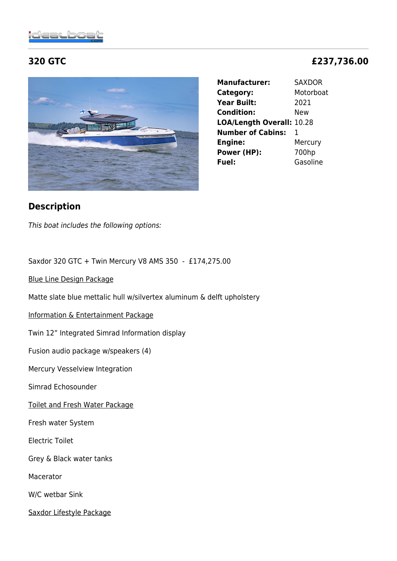**Manufacturer:** SAXDOR **Category:** Motorboat **Year Built:** 2021 **Condition:** New **LOA/Length Overall:** 10.28 **Number of Cabins:** 1 **Engine:** Mercury **Power (HP):** 700hp **Fuel:** Gasoline

# **Description**

This boat includes the following options:

Saxdor 320 GTC + Twin Mercury V8 AMS 350 - £174,275.00

Blue Line Design Package

Matte slate blue mettalic hull w/silvertex aluminum & delft upholstery

Information & Entertainment Package

Twin 12" Integrated Simrad Information display

Fusion audio package w/speakers (4)

Mercury Vesselview Integration

Simrad Echosounder

Toilet and Fresh Water Package

Fresh water System

Electric Toilet

Grey & Black water tanks

Macerator

W/C wetbar Sink

Saxdor Lifestyle Package

# **320 GTC £237,736.00**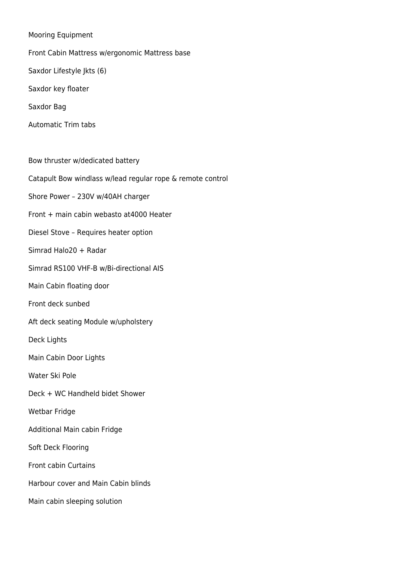Mooring Equipment

Front Cabin Mattress w/ergonomic Mattress base Saxdor Lifestyle Jkts (6) Saxdor key floater Saxdor Bag

Automatic Trim tabs

Bow thruster w/dedicated battery

Catapult Bow windlass w/lead regular rope & remote control

Shore Power – 230V w/40AH charger

- Front + main cabin webasto at4000 Heater
- Diesel Stove Requires heater option
- Simrad Halo20 + Radar
- Simrad RS100 VHF-B w/Bi-directional AIS
- Main Cabin floating door
- Front deck sunbed
- Aft deck seating Module w/upholstery

Deck Lights

Main Cabin Door Lights

Water Ski Pole

- Deck + WC Handheld bidet Shower
- Wetbar Fridge
- Additional Main cabin Fridge
- Soft Deck Flooring
- Front cabin Curtains
- Harbour cover and Main Cabin blinds
- Main cabin sleeping solution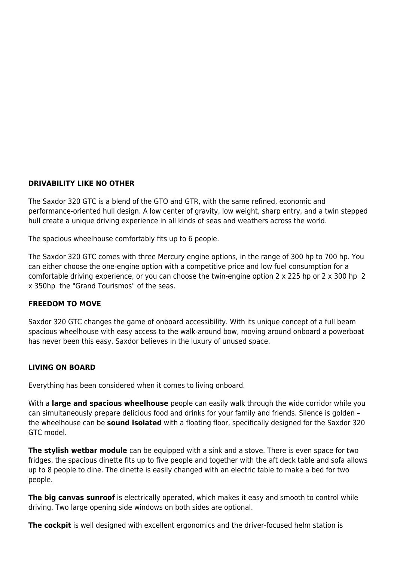## **DRIVABILITY LIKE NO OTHER**

The Saxdor 320 GTC is a blend of the GTO and GTR, with the same refined, economic and performance-oriented hull design. A low center of gravity, low weight, sharp entry, and a twin stepped hull create a unique driving experience in all kinds of seas and weathers across the world.

The spacious wheelhouse comfortably fits up to 6 people.

The Saxdor 320 GTC comes with three Mercury engine options, in the range of 300 hp to 700 hp. You can either choose the one-engine option with a competitive price and low fuel consumption for a comfortable driving experience, or you can choose the twin-engine option 2 x 225 hp or 2 x 300 hp 2 x 350hp the "Grand Tourismos" of the seas.

### **FREEDOM TO MOVE**

Saxdor 320 GTC changes the game of onboard accessibility. With its unique concept of a full beam spacious wheelhouse with easy access to the walk-around bow, moving around onboard a powerboat has never been this easy. Saxdor believes in the luxury of unused space.

# **LIVING ON BOARD**

Everything has been considered when it comes to living onboard.

With a **large and spacious wheelhouse** people can easily walk through the wide corridor while you can simultaneously prepare delicious food and drinks for your family and friends. Silence is golden – the wheelhouse can be **sound isolated** with a floating floor, specifically designed for the Saxdor 320 GTC model.

**The stylish wetbar module** can be equipped with a sink and a stove. There is even space for two fridges, the spacious dinette fits up to five people and together with the aft deck table and sofa allows up to 8 people to dine. The dinette is easily changed with an electric table to make a bed for two people.

**The big canvas sunroof** is electrically operated, which makes it easy and smooth to control while driving. Two large opening side windows on both sides are optional.

**The cockpit** is well designed with excellent ergonomics and the driver-focused helm station is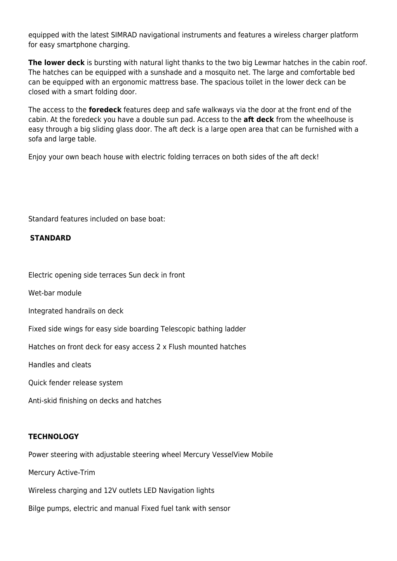equipped with the latest SIMRAD navigational instruments and features a wireless charger platform for easy smartphone charging.

**The lower deck** is bursting with natural light thanks to the two big Lewmar hatches in the cabin roof. The hatches can be equipped with a sunshade and a mosquito net. The large and comfortable bed can be equipped with an ergonomic mattress base. The spacious toilet in the lower deck can be closed with a smart folding door.

The access to the **foredeck** features deep and safe walkways via the door at the front end of the cabin. At the foredeck you have a double sun pad. Access to the **aft deck** from the wheelhouse is easy through a big sliding glass door. The aft deck is a large open area that can be furnished with a sofa and large table.

Enjoy your own beach house with electric folding terraces on both sides of the aft deck!

Standard features included on base boat:

# **STANDARD**

Electric opening side terraces Sun deck in front

Wet-bar module

Integrated handrails on deck

Fixed side wings for easy side boarding Telescopic bathing ladder

Hatches on front deck for easy access 2 x Flush mounted hatches

Handles and cleats

Quick fender release system

Anti-skid finishing on decks and hatches

### **TECHNOLOGY**

Power steering with adjustable steering wheel Mercury VesselView Mobile

Mercury Active-Trim

Wireless charging and 12V outlets LED Navigation lights

Bilge pumps, electric and manual Fixed fuel tank with sensor